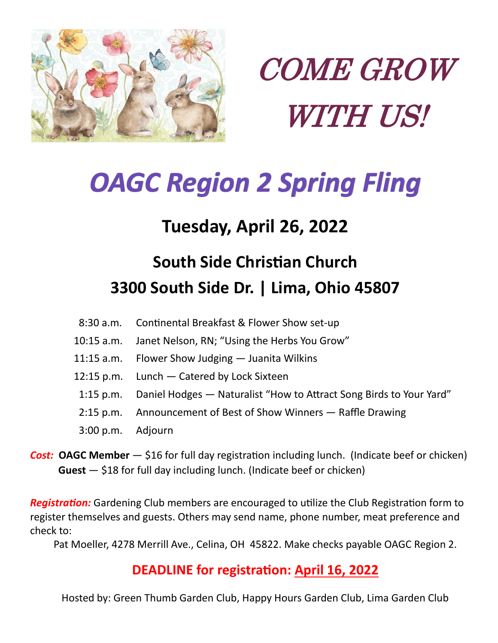



# *OAGC Region 2 Spring Fling*

### **Tuesday, April 26, 2022**

## **South Side Christian Church 3300 South Side Dr. | Lima, Ohio 45807**

- 8:30 a.m. Continental Breakfast & Flower Show set-up
- 10:15 a.m. Janet Nelson, RN; "Using the Herbs You Grow"
- 11:15 a.m. Flower Show Judging Juanita Wilkins
- 12:15 p.m. Lunch Catered by Lock Sixteen
- 1:15 p.m. Daniel Hodges Naturalist "How to Attract Song Birds to Your Yard"
- 2:15 p.m. Announcement of Best of Show Winners Raffle Drawing
- 3:00 p.m. Adjourn
- *Cost:* **OAGC Member** \$16 for full day registration including lunch. (Indicate beef or chicken) Guest – \$18 for full day including lunch. (Indicate beef or chicken)

*Registration:* Gardening Club members are encouraged to utilize the Club Registration form to register themselves and guests. Others may send name, phone number, meat preference and check to:

Pat Moeller, 4278 Merrill Ave., Celina, OH 45822. Make checks payable OAGC Region 2.

#### **DEADLINE for registration: April 16, 2022**

Hosted by: Green Thumb Garden Club, Happy Hours Garden Club, Lima Garden Club